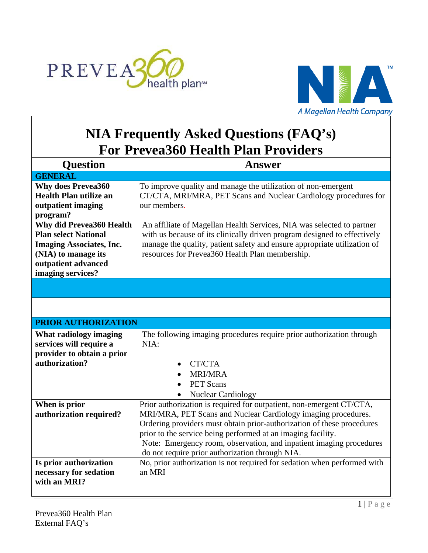



## **NIA Frequently Asked Questions (FAQ's) For Prevea360 Health Plan Providers**

 $\overline{a}$ 

| <b>Answer</b>                                                                                                                                                                                                                                                                                                                                                                                                                                                                                   |
|-------------------------------------------------------------------------------------------------------------------------------------------------------------------------------------------------------------------------------------------------------------------------------------------------------------------------------------------------------------------------------------------------------------------------------------------------------------------------------------------------|
|                                                                                                                                                                                                                                                                                                                                                                                                                                                                                                 |
| To improve quality and manage the utilization of non-emergent<br>CT/CTA, MRI/MRA, PET Scans and Nuclear Cardiology procedures for<br>our members.                                                                                                                                                                                                                                                                                                                                               |
| An affiliate of Magellan Health Services, NIA was selected to partner<br>with us because of its clinically driven program designed to effectively<br>manage the quality, patient safety and ensure appropriate utilization of<br>resources for Prevea360 Health Plan membership.                                                                                                                                                                                                                |
|                                                                                                                                                                                                                                                                                                                                                                                                                                                                                                 |
|                                                                                                                                                                                                                                                                                                                                                                                                                                                                                                 |
| <b>PRIOR AUTHORIZATION</b>                                                                                                                                                                                                                                                                                                                                                                                                                                                                      |
| The following imaging procedures require prior authorization through<br>NIA:<br>CT/CTA<br><b>MRI/MRA</b><br><b>PET Scans</b><br><b>Nuclear Cardiology</b>                                                                                                                                                                                                                                                                                                                                       |
| Prior authorization is required for outpatient, non-emergent CT/CTA,<br>MRI/MRA, PET Scans and Nuclear Cardiology imaging procedures.<br>Ordering providers must obtain prior-authorization of these procedures<br>prior to the service being performed at an imaging facility.<br>Note: Emergency room, observation, and inpatient imaging procedures<br>do not require prior authorization through NIA.<br>No, prior authorization is not required for sedation when performed with<br>an MRI |
|                                                                                                                                                                                                                                                                                                                                                                                                                                                                                                 |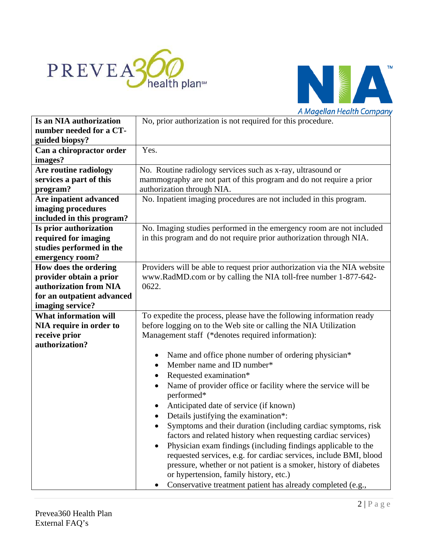



|                              | A Magellan Health Company                                                 |
|------------------------------|---------------------------------------------------------------------------|
| Is an NIA authorization      | No, prior authorization is not required for this procedure.               |
| number needed for a CT-      |                                                                           |
| guided biopsy?               |                                                                           |
| Can a chiropractor order     | Yes.                                                                      |
| images?                      |                                                                           |
| Are routine radiology        | No. Routine radiology services such as x-ray, ultrasound or               |
| services a part of this      | mammography are not part of this program and do not require a prior       |
| program?                     | authorization through NIA.                                                |
| Are inpatient advanced       | No. Inpatient imaging procedures are not included in this program.        |
| imaging procedures           |                                                                           |
| included in this program?    |                                                                           |
| Is prior authorization       | No. Imaging studies performed in the emergency room are not included      |
| required for imaging         | in this program and do not require prior authorization through NIA.       |
| studies performed in the     |                                                                           |
| emergency room?              |                                                                           |
| How does the ordering        | Providers will be able to request prior authorization via the NIA website |
| provider obtain a prior      | www.RadMD.com or by calling the NIA toll-free number 1-877-642-           |
| authorization from NIA       | 0622.                                                                     |
| for an outpatient advanced   |                                                                           |
| imaging service?             |                                                                           |
| <b>What information will</b> | To expedite the process, please have the following information ready      |
| NIA require in order to      | before logging on to the Web site or calling the NIA Utilization          |
| receive prior                | Management staff (*denotes required information):                         |
| authorization?               |                                                                           |
|                              | Name and office phone number of ordering physician*<br>$\bullet$          |
|                              | Member name and ID number*                                                |
|                              | Requested examination*<br>$\bullet$                                       |
|                              | Name of provider office or facility where the service will be             |
|                              | performed*                                                                |
|                              | Anticipated date of service (if known)                                    |
|                              | Details justifying the examination*:<br>$\bullet$                         |
|                              | Symptoms and their duration (including cardiac symptoms, risk             |
|                              | factors and related history when requesting cardiac services)             |
|                              | Physician exam findings (including findings applicable to the             |
|                              | requested services, e.g. for cardiac services, include BMI, blood         |
|                              | pressure, whether or not patient is a smoker, history of diabetes         |
|                              | or hypertension, family history, etc.)                                    |
|                              | Conservative treatment patient has already completed (e.g.,               |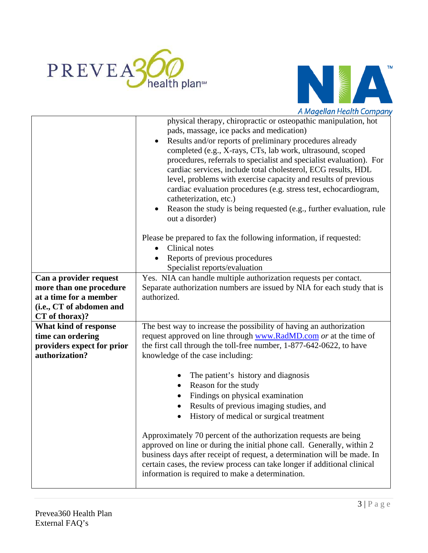



|                            | A Magellan Health Company                                                                  |
|----------------------------|--------------------------------------------------------------------------------------------|
|                            | physical therapy, chiropractic or osteopathic manipulation, hot                            |
|                            | pads, massage, ice packs and medication)                                                   |
|                            | Results and/or reports of preliminary procedures already                                   |
|                            | completed (e.g., X-rays, CTs, lab work, ultrasound, scoped                                 |
|                            | procedures, referrals to specialist and specialist evaluation). For                        |
|                            | cardiac services, include total cholesterol, ECG results, HDL                              |
|                            | level, problems with exercise capacity and results of previous                             |
|                            | cardiac evaluation procedures (e.g. stress test, echocardiogram,<br>catheterization, etc.) |
|                            | Reason the study is being requested (e.g., further evaluation, rule                        |
|                            | out a disorder)                                                                            |
|                            | Please be prepared to fax the following information, if requested:                         |
|                            | Clinical notes                                                                             |
|                            | Reports of previous procedures                                                             |
|                            | Specialist reports/evaluation                                                              |
| Can a provider request     | Yes. NIA can handle multiple authorization requests per contact.                           |
| more than one procedure    | Separate authorization numbers are issued by NIA for each study that is                    |
| at a time for a member     | authorized.                                                                                |
| (i.e., CT of abdomen and   |                                                                                            |
| CT of thorax)?             |                                                                                            |
| What kind of response      | The best way to increase the possibility of having an authorization                        |
| time can ordering          | request approved on line through www.RadMD.com or at the time of                           |
| providers expect for prior | the first call through the toll-free number, 1-877-642-0622, to have                       |
| authorization?             | knowledge of the case including:                                                           |
|                            | The patient's history and diagnosis                                                        |
|                            | Reason for the study                                                                       |
|                            | Findings on physical examination                                                           |
|                            | Results of previous imaging studies, and                                                   |
|                            | History of medical or surgical treatment                                                   |
|                            |                                                                                            |
|                            | Approximately 70 percent of the authorization requests are being                           |
|                            | approved on line or during the initial phone call. Generally, within 2                     |
|                            | business days after receipt of request, a determination will be made. In                   |
|                            | certain cases, the review process can take longer if additional clinical                   |
|                            | information is required to make a determination.                                           |
|                            |                                                                                            |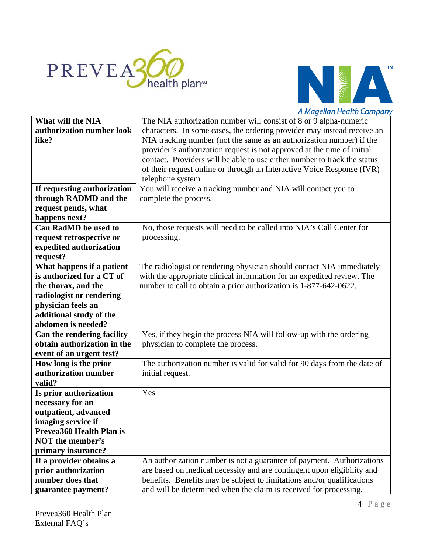



|                                         | A Magellan Health Company                                                |
|-----------------------------------------|--------------------------------------------------------------------------|
| <b>What will the NIA</b>                | The NIA authorization number will consist of 8 or 9 alpha-numeric        |
| authorization number look               | characters. In some cases, the ordering provider may instead receive an  |
| like?                                   | NIA tracking number (not the same as an authorization number) if the     |
|                                         | provider's authorization request is not approved at the time of initial  |
|                                         | contact. Providers will be able to use either number to track the status |
|                                         | of their request online or through an Interactive Voice Response (IVR)   |
|                                         | telephone system.                                                        |
| If requesting authorization             | You will receive a tracking number and NIA will contact you to           |
| through RADMD and the                   | complete the process.                                                    |
| request pends, what                     |                                                                          |
| happens next?                           |                                                                          |
| <b>Can RadMD</b> be used to             | No, those requests will need to be called into NIA's Call Center for     |
| request retrospective or                | processing.                                                              |
| expedited authorization                 |                                                                          |
| request?                                |                                                                          |
| What happens if a patient               | The radiologist or rendering physician should contact NIA immediately    |
| is authorized for a CT of               | with the appropriate clinical information for an expedited review. The   |
| the thorax, and the                     | number to call to obtain a prior authorization is 1-877-642-0622.        |
| radiologist or rendering                |                                                                          |
| physician feels an                      |                                                                          |
| additional study of the                 |                                                                          |
| abdomen is needed?                      |                                                                          |
| Can the rendering facility              | Yes, if they begin the process NIA will follow-up with the ordering      |
| obtain authorization in the             | physician to complete the process.                                       |
| event of an urgent test?                |                                                                          |
| How long is the prior                   | The authorization number is valid for valid for 90 days from the date of |
| authorization number                    | initial request.                                                         |
| valid?                                  |                                                                          |
| Is prior authorization                  | Yes                                                                      |
| necessary for an                        |                                                                          |
| outpatient, advanced                    |                                                                          |
| imaging service if                      |                                                                          |
| Prevea 360 Health Plan is               |                                                                          |
| <b>NOT</b> the member's                 |                                                                          |
| primary insurance?                      |                                                                          |
| If a provider obtains a                 | An authorization number is not a guarantee of payment. Authorizations    |
| prior authorization<br>number does that | are based on medical necessity and are contingent upon eligibility and   |
|                                         | benefits. Benefits may be subject to limitations and/or qualifications   |
| guarantee payment?                      | and will be determined when the claim is received for processing.        |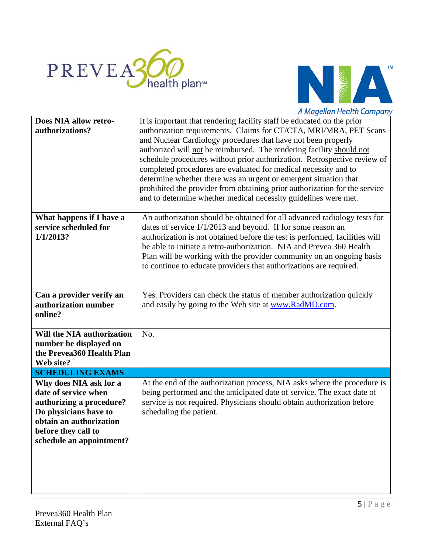



|                                                                                                                                                                                   | A Magellan Health Company                                                                                                                                                                                                                                                                                                                                                                                                                                                                                                                                                                                                                                |
|-----------------------------------------------------------------------------------------------------------------------------------------------------------------------------------|----------------------------------------------------------------------------------------------------------------------------------------------------------------------------------------------------------------------------------------------------------------------------------------------------------------------------------------------------------------------------------------------------------------------------------------------------------------------------------------------------------------------------------------------------------------------------------------------------------------------------------------------------------|
| Does NIA allow retro-<br>authorizations?                                                                                                                                          | It is important that rendering facility staff be educated on the prior<br>authorization requirements. Claims for CT/CTA, MRI/MRA, PET Scans<br>and Nuclear Cardiology procedures that have not been properly<br>authorized will not be reimbursed. The rendering facility should not<br>schedule procedures without prior authorization. Retrospective review of<br>completed procedures are evaluated for medical necessity and to<br>determine whether there was an urgent or emergent situation that<br>prohibited the provider from obtaining prior authorization for the service<br>and to determine whether medical necessity guidelines were met. |
| What happens if I have a<br>service scheduled for<br>1/1/2013?                                                                                                                    | An authorization should be obtained for all advanced radiology tests for<br>dates of service 1/1/2013 and beyond. If for some reason an<br>authorization is not obtained before the test is performed, facilities will<br>be able to initiate a retro-authorization. NIA and Prevea 360 Health<br>Plan will be working with the provider community on an ongoing basis<br>to continue to educate providers that authorizations are required.                                                                                                                                                                                                             |
| Can a provider verify an<br>authorization number<br>online?                                                                                                                       | Yes. Providers can check the status of member authorization quickly<br>and easily by going to the Web site at www.RadMD.com.                                                                                                                                                                                                                                                                                                                                                                                                                                                                                                                             |
| Will the NIA authorization<br>number be displayed on<br>the Prevea360 Health Plan<br>Web site?                                                                                    | No.                                                                                                                                                                                                                                                                                                                                                                                                                                                                                                                                                                                                                                                      |
| <b>SCHEDULING EXAMS</b>                                                                                                                                                           |                                                                                                                                                                                                                                                                                                                                                                                                                                                                                                                                                                                                                                                          |
| Why does NIA ask for a<br>date of service when<br>authorizing a procedure?<br>Do physicians have to<br>obtain an authorization<br>before they call to<br>schedule an appointment? | At the end of the authorization process, NIA asks where the procedure is<br>being performed and the anticipated date of service. The exact date of<br>service is not required. Physicians should obtain authorization before<br>scheduling the patient.                                                                                                                                                                                                                                                                                                                                                                                                  |
|                                                                                                                                                                                   |                                                                                                                                                                                                                                                                                                                                                                                                                                                                                                                                                                                                                                                          |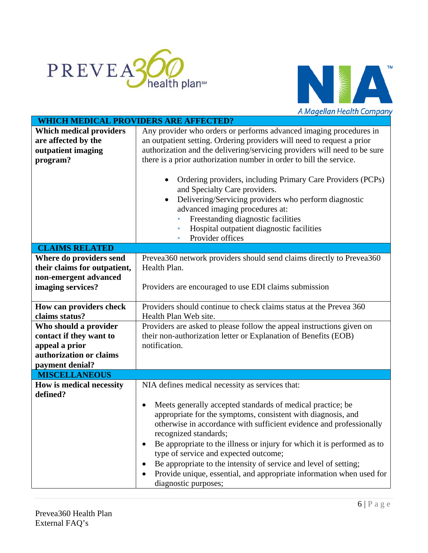



|                                              | A Magellan Health Company                                                 |
|----------------------------------------------|---------------------------------------------------------------------------|
| <b>WHICH MEDICAL PROVIDERS ARE AFFECTED?</b> |                                                                           |
| <b>Which medical providers</b>               | Any provider who orders or performs advanced imaging procedures in        |
| are affected by the                          | an outpatient setting. Ordering providers will need to request a prior    |
| outpatient imaging                           | authorization and the delivering/servicing providers will need to be sure |
| program?                                     | there is a prior authorization number in order to bill the service.       |
|                                              |                                                                           |
|                                              | Ordering providers, including Primary Care Providers (PCPs)               |
|                                              | and Specialty Care providers.                                             |
|                                              | Delivering/Servicing providers who perform diagnostic<br>$\bullet$        |
|                                              | advanced imaging procedures at:                                           |
|                                              | Freestanding diagnostic facilities                                        |
|                                              | Hospital outpatient diagnostic facilities<br>۰                            |
|                                              | Provider offices<br>۰                                                     |
| <b>CLAIMS RELATED</b>                        |                                                                           |
| Where do providers send                      | Prevea 360 network providers should send claims directly to Prevea 360    |
| their claims for outpatient,                 | Health Plan.                                                              |
| non-emergent advanced                        |                                                                           |
| imaging services?                            | Providers are encouraged to use EDI claims submission                     |
|                                              |                                                                           |
| How can providers check                      | Providers should continue to check claims status at the Prevea 360        |
| claims status?                               | Health Plan Web site.                                                     |
| Who should a provider                        | Providers are asked to please follow the appeal instructions given on     |
| contact if they want to                      | their non-authorization letter or Explanation of Benefits (EOB)           |
| appeal a prior                               | notification.                                                             |
| authorization or claims                      |                                                                           |
| payment denial?                              |                                                                           |
| <b>MISCELLANEOUS</b>                         |                                                                           |
| How is medical necessity                     | NIA defines medical necessity as services that:                           |
| defined?                                     |                                                                           |
|                                              | Meets generally accepted standards of medical practice; be<br>٠           |
|                                              | appropriate for the symptoms, consistent with diagnosis, and              |
|                                              | otherwise in accordance with sufficient evidence and professionally       |
|                                              | recognized standards;                                                     |
|                                              | Be appropriate to the illness or injury for which it is performed as to   |
|                                              | type of service and expected outcome;                                     |
|                                              | Be appropriate to the intensity of service and level of setting;          |
|                                              | Provide unique, essential, and appropriate information when used for      |
|                                              | diagnostic purposes;                                                      |